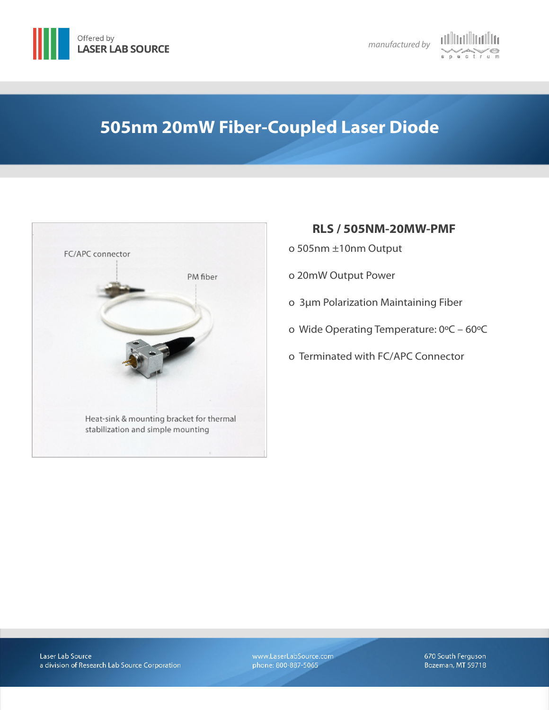





# **505nm 20mW Fiber-Coupled Laser Diode**



## **RLS / 505NM-20MW-PMF**

- ο 505nm ±10nm Output
- ο 20mW Output Power
- ο 3µm Polarization Maintaining Fiber
- ο Wide Operating Temperature: 0ºC 60ºC
- ο Terminated with FC/APC Connector

www.LaserLabSource.com phone: 800-887-5065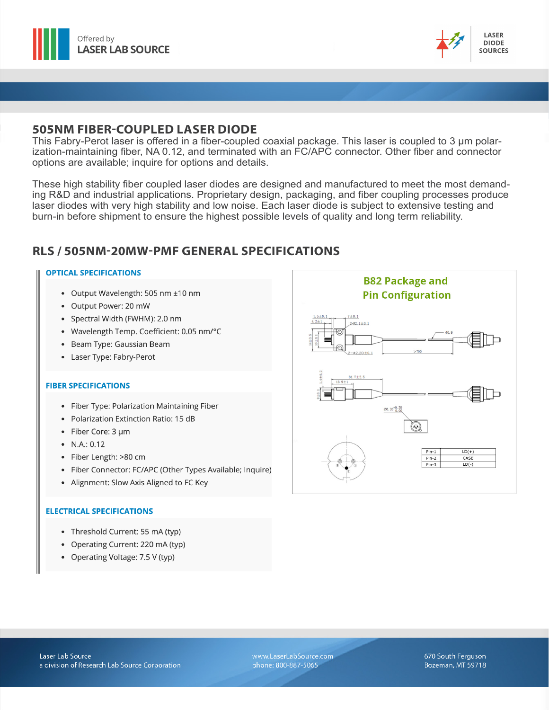



### **505NM FIBER-COUPLED LASER DIODE**

This Fabry-Perot laser is offered in a fiber-coupled coaxial package. This laser is coupled to 3 µm polarization-maintaining fiber, NA 0.12, and terminated with an FC/APC connector. Other fiber and connector options are available; inquire for options and details.

These high stability fiber coupled laser diodes are designed and manufactured to meet the most demanding R&D and industrial applications. Proprietary design, packaging, and fiber coupling processes produce laser diodes with very high stability and low noise. Each laser diode is subject to extensive testing and burn-in before shipment to ensure the highest possible levels of quality and long term reliability.

# **RLS / 505NM-20MW-PMF GENERAL SPECIFICATIONS**

#### **OPTICAL SPECIFICATIONS**

- Output Wavelength: 505 nm ±10 nm
- Output Power: 20 mW
- Spectral Width (FWHM): 2.0 nm
- Wavelength Temp. Coefficient: 0.05 nm/°C
- Beam Type: Gaussian Beam
- Laser Type: Fabry-Perot

#### **FIBER SPECIFICATIONS**

- Fiber Type: Polarization Maintaining Fiber
- Polarization Extinction Ratio: 15 dB
- Fiber Core: 3 um
- $\bullet$  N.A.: 0.12
- · Fiber Length: >80 cm
- Fiber Connector: FC/APC (Other Types Available; Inquire)
- Alignment: Slow Axis Aligned to FC Key

#### **ELECTRICAL SPECIFICATIONS**

- Threshold Current: 55 mA (typ)
- Operating Current: 220 mA (typ)
- Operating Voltage: 7.5 V (typ)



www.LaserLabSource.com phone: 800-887-5065